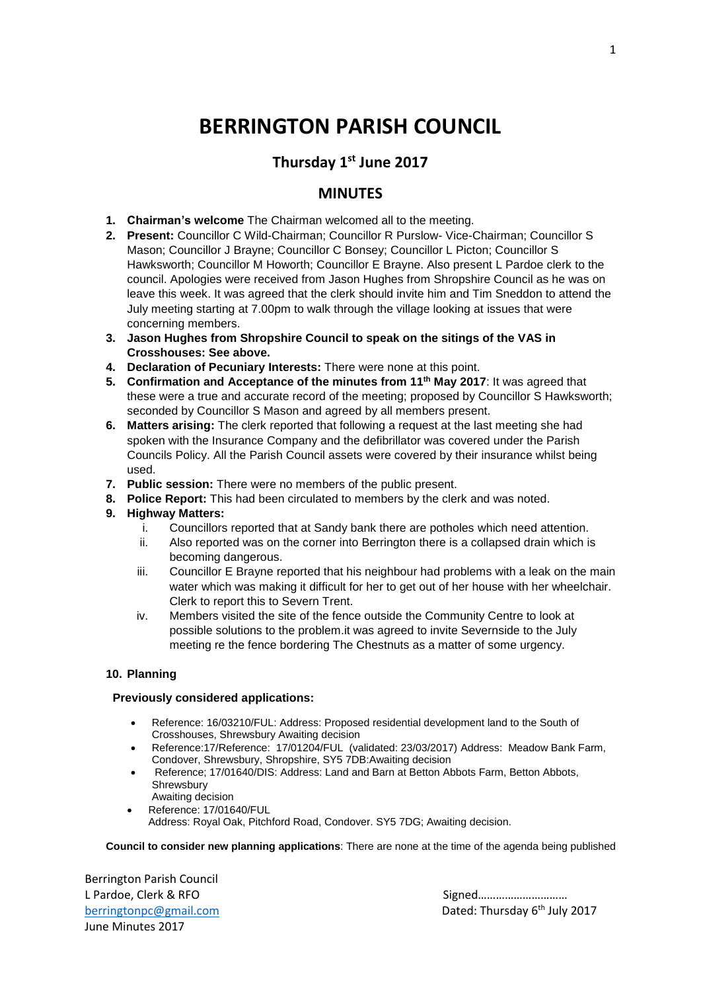# **BERRINGTON PARISH COUNCIL**

# **Thursday 1st June 2017**

## **MINUTES**

- **1. Chairman's welcome** The Chairman welcomed all to the meeting.
- **2. Present:** Councillor C Wild-Chairman; Councillor R Purslow- Vice-Chairman; Councillor S Mason; Councillor J Brayne; Councillor C Bonsey; Councillor L Picton; Councillor S Hawksworth; Councillor M Howorth; Councillor E Brayne. Also present L Pardoe clerk to the council. Apologies were received from Jason Hughes from Shropshire Council as he was on leave this week. It was agreed that the clerk should invite him and Tim Sneddon to attend the July meeting starting at 7.00pm to walk through the village looking at issues that were concerning members.
- **3. Jason Hughes from Shropshire Council to speak on the sitings of the VAS in Crosshouses: See above.**
- **4. Declaration of Pecuniary Interests:** There were none at this point.
- **5. Confirmation and Acceptance of the minutes from 11th May 2017**: It was agreed that these were a true and accurate record of the meeting; proposed by Councillor S Hawksworth; seconded by Councillor S Mason and agreed by all members present.
- **6. Matters arising:** The clerk reported that following a request at the last meeting she had spoken with the Insurance Company and the defibrillator was covered under the Parish Councils Policy. All the Parish Council assets were covered by their insurance whilst being used.
- **7. Public session:** There were no members of the public present.
- **8. Police Report:** This had been circulated to members by the clerk and was noted.
- **9. Highway Matters:**
	- i. Councillors reported that at Sandy bank there are potholes which need attention.
	- ii. Also reported was on the corner into Berrington there is a collapsed drain which is becoming dangerous.
	- iii. Councillor E Brayne reported that his neighbour had problems with a leak on the main water which was making it difficult for her to get out of her house with her wheelchair. Clerk to report this to Severn Trent.
	- iv. Members visited the site of the fence outside the Community Centre to look at possible solutions to the problem.it was agreed to invite Severnside to the July meeting re the fence bordering The Chestnuts as a matter of some urgency.

### **10. Planning**

#### **Previously considered applications:**

- Reference: 16/03210/FUL: Address: Proposed residential development land to the South of Crosshouses, Shrewsbury Awaiting decision
- Reference:17/Reference: 17/01204/FUL (validated: 23/03/2017) Address: Meadow Bank Farm, Condover, Shrewsbury, Shropshire, SY5 7DB:Awaiting decision
- Reference; 17/01640/DIS: Address: Land and Barn at Betton Abbots Farm, Betton Abbots, Shrewsbury Awaiting decision
- Reference: 17/01640/FUL Address: Royal Oak, Pitchford Road, Condover. SY5 7DG; Awaiting decision.

**Council to consider new planning applications**: There are none at the time of the agenda being published

Berrington Parish Council L Pardoe, Clerk & RFO Signed………………………… June Minutes 2017

[berringtonpc@gmail.com](mailto:berringtonpc@gmail.com) **Dated: Thursday 6<sup>th</sup> July 2017**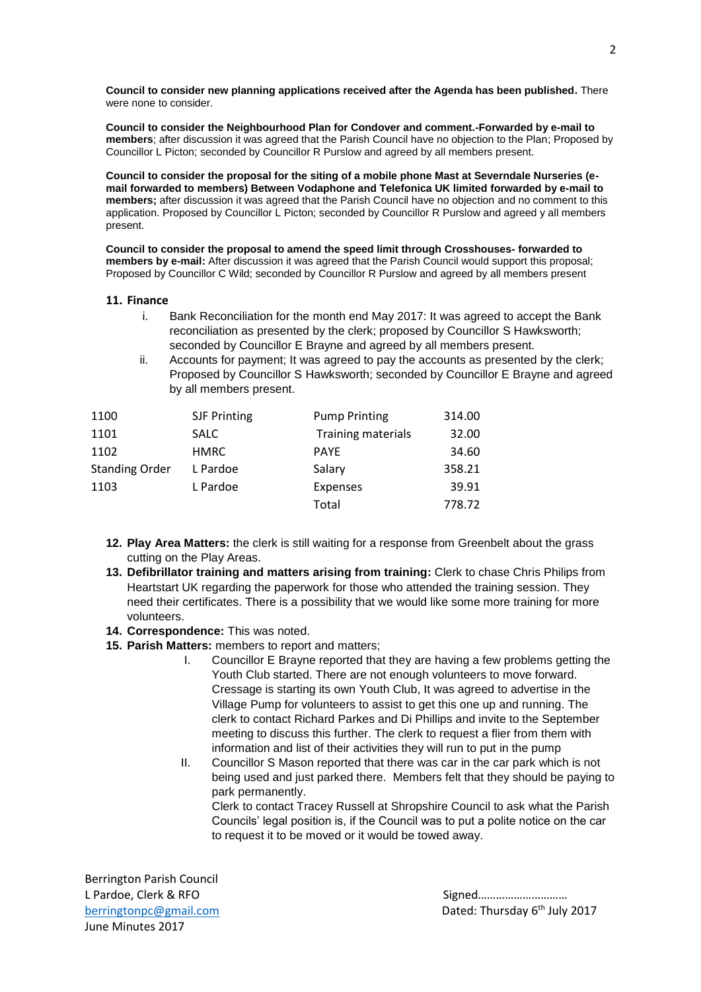**Council to consider new planning applications received after the Agenda has been published.** There were none to consider.

**Council to consider the Neighbourhood Plan for Condover and comment.-Forwarded by e-mail to members**; after discussion it was agreed that the Parish Council have no objection to the Plan; Proposed by Councillor L Picton; seconded by Councillor R Purslow and agreed by all members present.

**Council to consider the proposal for the siting of a mobile phone Mast at Severndale Nurseries (email forwarded to members) Between Vodaphone and Telefonica UK limited forwarded by e-mail to members;** after discussion it was agreed that the Parish Council have no objection and no comment to this application. Proposed by Councillor L Picton; seconded by Councillor R Purslow and agreed y all members present.

**Council to consider the proposal to amend the speed limit through Crosshouses- forwarded to members by e-mail:** After discussion it was agreed that the Parish Council would support this proposal; Proposed by Councillor C Wild; seconded by Councillor R Purslow and agreed by all members present

#### **11. Finance**

- i. Bank Reconciliation for the month end May 2017: It was agreed to accept the Bank reconciliation as presented by the clerk; proposed by Councillor S Hawksworth; seconded by Councillor E Brayne and agreed by all members present.
- ii. Accounts for payment; It was agreed to pay the accounts as presented by the clerk; Proposed by Councillor S Hawksworth; seconded by Councillor E Brayne and agreed by all members present.

| 1100                  | <b>SJF Printing</b> | <b>Pump Printing</b>      | 314.00 |
|-----------------------|---------------------|---------------------------|--------|
| 1101                  | <b>SALC</b>         | <b>Training materials</b> | 32.00  |
| 1102                  | <b>HMRC</b>         | <b>PAYE</b>               | 34.60  |
| <b>Standing Order</b> | L Pardoe            | Salary                    | 358.21 |
| 1103                  | L Pardoe            | <b>Expenses</b>           | 39.91  |
|                       |                     | Total                     | 778.72 |

- **12. Play Area Matters:** the clerk is still waiting for a response from Greenbelt about the grass cutting on the Play Areas.
- **13. Defibrillator training and matters arising from training:** Clerk to chase Chris Philips from Heartstart UK regarding the paperwork for those who attended the training session. They need their certificates. There is a possibility that we would like some more training for more volunteers.
- **14. Correspondence:** This was noted.
- **15. Parish Matters:** members to report and matters;
	- I. Councillor E Brayne reported that they are having a few problems getting the Youth Club started. There are not enough volunteers to move forward. Cressage is starting its own Youth Club, It was agreed to advertise in the Village Pump for volunteers to assist to get this one up and running. The clerk to contact Richard Parkes and Di Phillips and invite to the September meeting to discuss this further. The clerk to request a flier from them with information and list of their activities they will run to put in the pump
	- II. Councillor S Mason reported that there was car in the car park which is not being used and just parked there. Members felt that they should be paying to park permanently.

Clerk to contact Tracey Russell at Shropshire Council to ask what the Parish Councils' legal position is, if the Council was to put a polite notice on the car to request it to be moved or it would be towed away.

Berrington Parish Council L Pardoe, Clerk & RFO Signed………………………… June Minutes 2017

[berringtonpc@gmail.com](mailto:berringtonpc@gmail.com) **Dated: Thursday 6<sup>th</sup> July 2017**